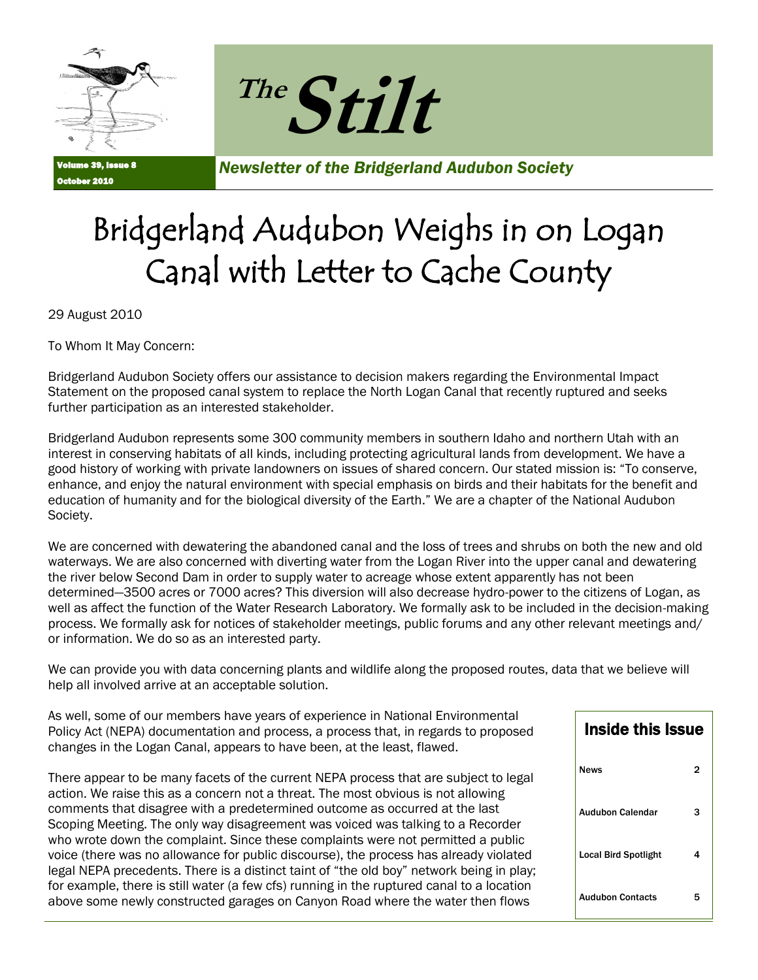



Volume 39, Issue 8 r 2010

*Newsletter of the Bridgerland Audubon Society*

## Bridgerland Audubon Weighs in on Logan Canal with Letter to Cache County

29 August 2010

To Whom It May Concern:

Bridgerland Audubon Society offers our assistance to decision makers regarding the Environmental Impact Statement on the proposed canal system to replace the North Logan Canal that recently ruptured and seeks further participation as an interested stakeholder.

Bridgerland Audubon represents some 300 community members in southern Idaho and northern Utah with an interest in conserving habitats of all kinds, including protecting agricultural lands from development. We have a good history of working with private landowners on issues of shared concern. Our stated mission is: "To conserve, enhance, and enjoy the natural environment with special emphasis on birds and their habitats for the benefit and education of humanity and for the biological diversity of the Earth." We are a chapter of the National Audubon Society.

We are concerned with dewatering the abandoned canal and the loss of trees and shrubs on both the new and old waterways. We are also concerned with diverting water from the Logan River into the upper canal and dewatering the river below Second Dam in order to supply water to acreage whose extent apparently has not been determined—3500 acres or 7000 acres? This diversion will also decrease hydro-power to the citizens of Logan, as well as affect the function of the Water Research Laboratory. We formally ask to be included in the decision-making process. We formally ask for notices of stakeholder meetings, public forums and any other relevant meetings and/ or information. We do so as an interested party.

We can provide you with data concerning plants and wildlife along the proposed routes, data that we believe will help all involved arrive at an acceptable solution.

As well, some of our members have years of experience in National Environmental Policy Act (NEPA) documentation and process, a process that, in regards to proposed changes in the Logan Canal, appears to have been, at the least, flawed.

There appear to be many facets of the current NEPA process that are subject to legal action. We raise this as a concern not a threat. The most obvious is not allowing comments that disagree with a predetermined outcome as occurred at the last Scoping Meeting. The only way disagreement was voiced was talking to a Recorder who wrote down the complaint. Since these complaints were not permitted a public voice (there was no allowance for public discourse), the process has already violated legal NEPA precedents. There is a distinct taint of "the old boy" network being in play; for example, there is still water (a few cfs) running in the ruptured canal to a location above some newly constructed garages on Canyon Road where the water then flows

| <b>Inside this Issue</b>    |   |
|-----------------------------|---|
| News                        | 2 |
| Audubon Calendar            | 3 |
| <b>Local Bird Spotlight</b> | 4 |
| <b>Audubon Contacts</b>     | 5 |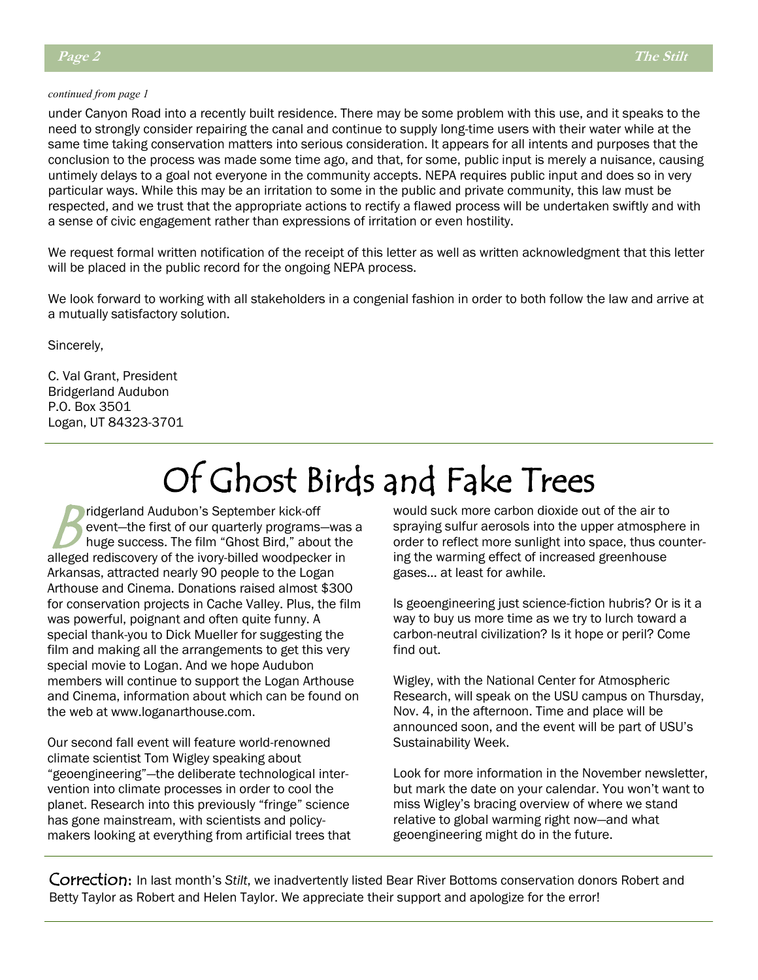#### *continued from page 1*

under Canyon Road into a recently built residence. There may be some problem with this use, and it speaks to the need to strongly consider repairing the canal and continue to supply long-time users with their water while at the same time taking conservation matters into serious consideration. It appears for all intents and purposes that the conclusion to the process was made some time ago, and that, for some, public input is merely a nuisance, causing untimely delays to a goal not everyone in the community accepts. NEPA requires public input and does so in very particular ways. While this may be an irritation to some in the public and private community, this law must be respected, and we trust that the appropriate actions to rectify a flawed process will be undertaken swiftly and with a sense of civic engagement rather than expressions of irritation or even hostility.

We request formal written notification of the receipt of this letter as well as written acknowledgment that this letter will be placed in the public record for the ongoing NEPA process.

We look forward to working with all stakeholders in a congenial fashion in order to both follow the law and arrive at a mutually satisfactory solution.

Sincerely,

C. Val Grant, President Bridgerland Audubon P.O. Box 3501 Logan, UT 84323-3701

## Of Ghost Birds and Fake Trees

 $B_{\textrm{\tiny{in}}}^{\textrm{\tiny{in}}}$ ridgerland Audubon's September kick-off event—the first of our quarterly programs—was a huge success. The film "Ghost Bird," about the alleged rediscovery of the ivory-billed woodpecker in Arkansas, attracted nearly 90 people to the Logan Arthouse and Cinema. Donations raised almost \$300 for conservation projects in Cache Valley. Plus, the film was powerful, poignant and often quite funny. A special thank-you to Dick Mueller for suggesting the film and making all the arrangements to get this very special movie to Logan. And we hope Audubon members will continue to support the Logan Arthouse and Cinema, information about which can be found on the web at www.loganarthouse.com.

Our second fall event will feature world-renowned climate scientist Tom Wigley speaking about "geoengineering"—the deliberate technological intervention into climate processes in order to cool the planet. Research into this previously "fringe" science has gone mainstream, with scientists and policymakers looking at everything from artificial trees that would suck more carbon dioxide out of the air to spraying sulfur aerosols into the upper atmosphere in order to reflect more sunlight into space, thus countering the warming effect of increased greenhouse gases… at least for awhile.

Is geoengineering just science-fiction hubris? Or is it a way to buy us more time as we try to lurch toward a carbon-neutral civilization? Is it hope or peril? Come find out.

Wigley, with the National Center for Atmospheric Research, will speak on the USU campus on Thursday, Nov. 4, in the afternoon. Time and place will be announced soon, and the event will be part of USU's Sustainability Week.

Look for more information in the November newsletter, but mark the date on your calendar. You won't want to miss Wigley's bracing overview of where we stand relative to global warming right now—and what geoengineering might do in the future.

Correction: In last month's *Stilt*, we inadvertently listed Bear River Bottoms conservation donors Robert and Betty Taylor as Robert and Helen Taylor. We appreciate their support and apologize for the error!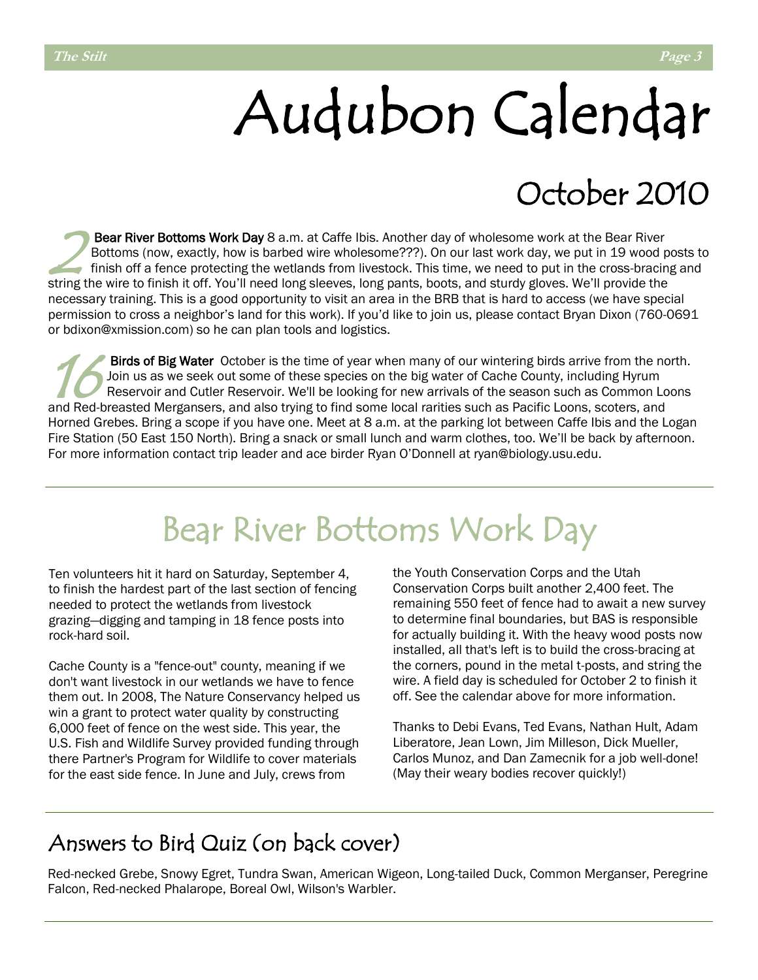# Audubon Calendar

## October 2010

 $\sum_{\text{fi}}^{\text{B}}$ Bear River Bottoms Work Day 8 a.m. at Caffe Ibis. Another day of wholesome work at the Bear River Bottoms (now, exactly, how is barbed wire wholesome???). On our last work day, we put in 19 wood posts to finish off a fence protecting the wetlands from livestock. This time, we need to put in the cross-bracing and string the wire to finish it off. You'll need long sleeves, long pants, boots, and sturdy gloves. We'll provide the necessary training. This is a good opportunity to visit an area in the BRB that is hard to access (we have special permission to cross a neighbor's land for this work). If you'd like to join us, please contact Bryan Dixon (760-0691 or bdixon@xmission.com) so he can plan tools and logistics.

 $16<sub>R</sub><sup>B</sup>$ Birds of Big Water October is the time of year when many of our wintering birds arrive from the north. Join us as we seek out some of these species on the big water of Cache County, including Hyrum Reservoir and Cutler Reservoir. We'll be looking for new arrivals of the season such as Common Loons and Red-breasted Mergansers, and also trying to find some local rarities such as Pacific Loons, scoters, and Horned Grebes. Bring a scope if you have one. Meet at 8 a.m. at the parking lot between Caffe Ibis and the Logan Fire Station (50 East 150 North). Bring a snack or small lunch and warm clothes, too. We'll be back by afternoon. For more information contact trip leader and ace birder Ryan O'Donnell at ryan@biology.usu.edu.

## Bear River Bottoms Work Day

Ten volunteers hit it hard on Saturday, September 4, to finish the hardest part of the last section of fencing needed to protect the wetlands from livestock grazing—digging and tamping in 18 fence posts into rock-hard soil.

Cache County is a "fence-out" county, meaning if we don't want livestock in our wetlands we have to fence them out. In 2008, The Nature Conservancy helped us win a grant to protect water quality by constructing 6,000 feet of fence on the west side. This year, the U.S. Fish and Wildlife Survey provided funding through there Partner's Program for Wildlife to cover materials for the east side fence. In June and July, crews from

the Youth Conservation Corps and the Utah Conservation Corps built another 2,400 feet. The remaining 550 feet of fence had to await a new survey to determine final boundaries, but BAS is responsible for actually building it. With the heavy wood posts now installed, all that's left is to build the cross-bracing at the corners, pound in the metal t-posts, and string the wire. A field day is scheduled for October 2 to finish it off. See the calendar above for more information.

Thanks to Debi Evans, Ted Evans, Nathan Hult, Adam Liberatore, Jean Lown, Jim Milleson, Dick Mueller, Carlos Munoz, and Dan Zamecnik for a job well-done! (May their weary bodies recover quickly!)

### Answers to Bird Quiz (on back cover)

Red-necked Grebe, Snowy Egret, Tundra Swan, American Wigeon, Long-tailed Duck, Common Merganser, Peregrine Falcon, Red-necked Phalarope, Boreal Owl, Wilson's Warbler.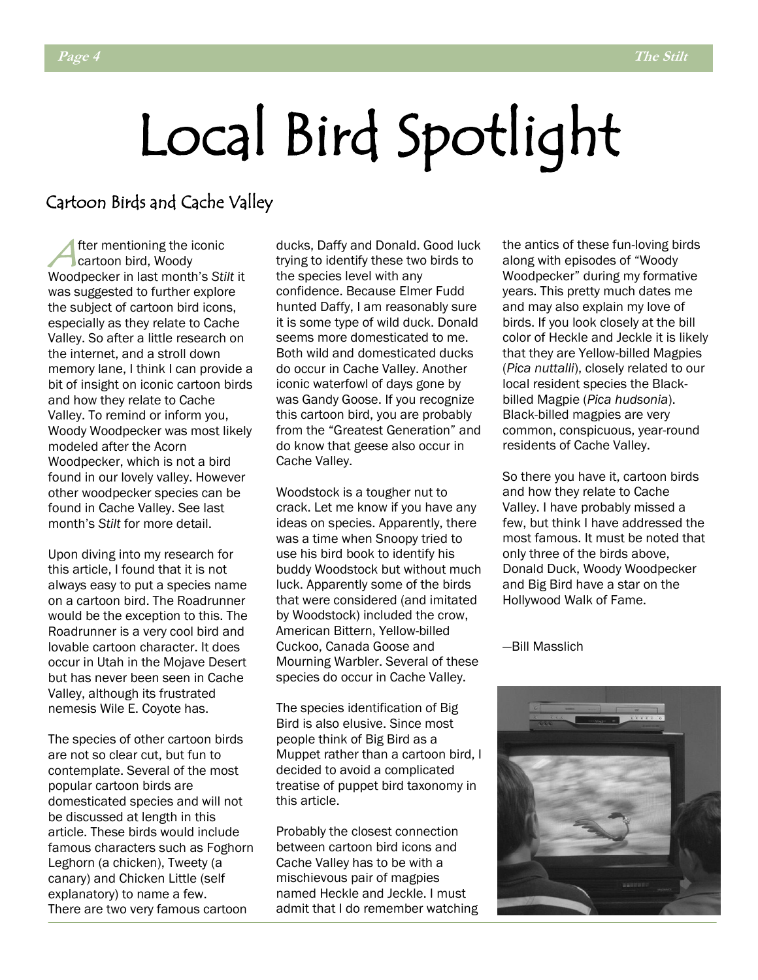# Local Bird Spotlight

### Cartoon Birds and Cache Valley

**A** fter mentioning the improvement of the improvement of the intervals. fter mentioning the iconic Woodpecker in last month's *Stilt* it was suggested to further explore the subject of cartoon bird icons, especially as they relate to Cache Valley. So after a little research on the internet, and a stroll down memory lane, I think I can provide a bit of insight on iconic cartoon birds and how they relate to Cache Valley. To remind or inform you, Woody Woodpecker was most likely modeled after the Acorn Woodpecker, which is not a bird found in our lovely valley. However other woodpecker species can be found in Cache Valley. See last month's *Stilt* for more detail.

Upon diving into my research for this article, I found that it is not always easy to put a species name on a cartoon bird. The Roadrunner would be the exception to this. The Roadrunner is a very cool bird and lovable cartoon character. It does occur in Utah in the Mojave Desert but has never been seen in Cache Valley, although its frustrated nemesis Wile E. Coyote has.

The species of other cartoon birds are not so clear cut, but fun to contemplate. Several of the most popular cartoon birds are domesticated species and will not be discussed at length in this article. These birds would include famous characters such as Foghorn Leghorn (a chicken), Tweety (a canary) and Chicken Little (self explanatory) to name a few. There are two very famous cartoon

ducks, Daffy and Donald. Good luck trying to identify these two birds to the species level with any confidence. Because Elmer Fudd hunted Daffy, I am reasonably sure it is some type of wild duck. Donald seems more domesticated to me. Both wild and domesticated ducks do occur in Cache Valley. Another iconic waterfowl of days gone by was Gandy Goose. If you recognize this cartoon bird, you are probably from the "Greatest Generation" and do know that geese also occur in Cache Valley.

Woodstock is a tougher nut to crack. Let me know if you have any ideas on species. Apparently, there was a time when Snoopy tried to use his bird book to identify his buddy Woodstock but without much luck. Apparently some of the birds that were considered (and imitated by Woodstock) included the crow, American Bittern, Yellow-billed Cuckoo, Canada Goose and Mourning Warbler. Several of these species do occur in Cache Valley.

The species identification of Big Bird is also elusive. Since most people think of Big Bird as a Muppet rather than a cartoon bird, I decided to avoid a complicated treatise of puppet bird taxonomy in this article.

Probably the closest connection between cartoon bird icons and Cache Valley has to be with a mischievous pair of magpies named Heckle and Jeckle. I must admit that I do remember watching the antics of these fun-loving birds along with episodes of "Woody Woodpecker" during my formative years. This pretty much dates me and may also explain my love of birds. If you look closely at the bill color of Heckle and Jeckle it is likely that they are Yellow-billed Magpies (*Pica nuttalli*), closely related to our local resident species the Blackbilled Magpie (*Pica hudsonia*). Black-billed magpies are very common, conspicuous, year-round residents of Cache Valley.

So there you have it, cartoon birds and how they relate to Cache Valley. I have probably missed a few, but think I have addressed the most famous. It must be noted that only three of the birds above, Donald Duck, Woody Woodpecker and Big Bird have a star on the Hollywood Walk of Fame.

—Bill Masslich

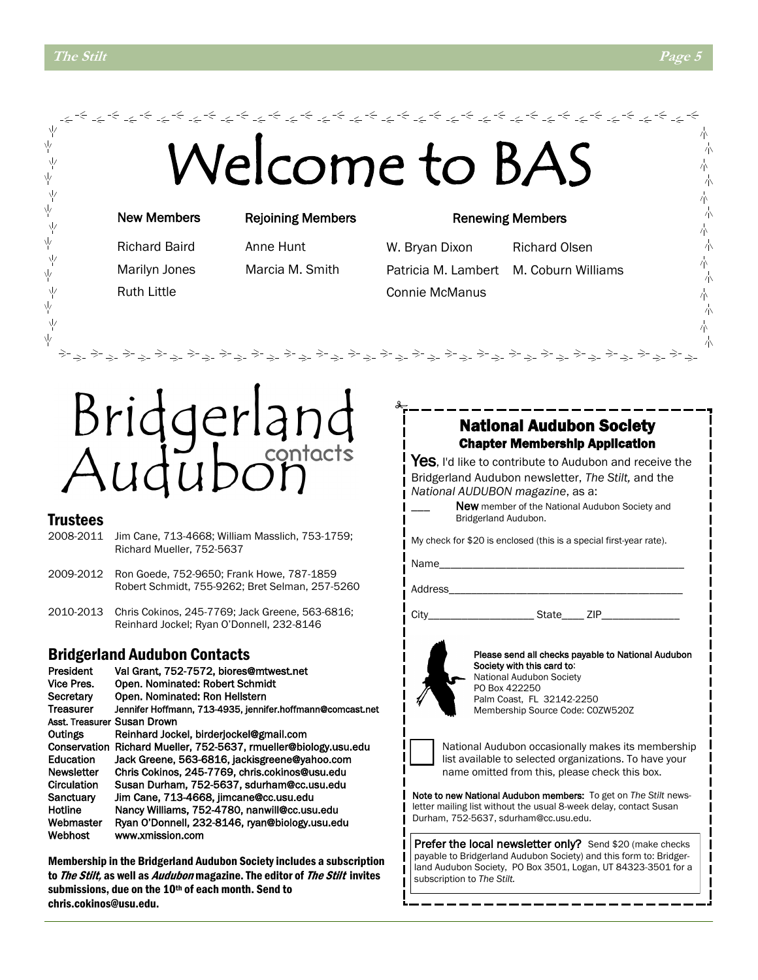业

Υķ

Υ

ψ

业

一<br>平

一平

Ņγ

ψ

γķ

### Welcome to BA 木 赤 六 本 六 New Members Rejoining Members Renewing Members 本 六 Richard Baird Anne Hunt W. Bryan Dixon Richard Olsen 朩 Marilyn Jones Marcia M. Smith Patricia M. Lambert M. Coburn Williams Ruth Little Connie McManus 赤 チオキチオキチオキチオキチオキチオキチオキチオキチオキ idgerland National Audubon Society Chapter Membership Application Audut Yes, I'd like to contribute to Audubon and receive the Bridgerland Audubon newsletter, *The Stilt,* and the *National AUDUBON magazine*, as a: New member of the National Audubon Society and Bridgerland Audubon. Trustees

#### 2008-2011 Jim Cane, 713-4668; William Masslich, 753-1759; Richard Mueller, 752-5637

- 2009-2012 Ron Goede, 752-9650; Frank Howe, 787-1859 Robert Schmidt, 755-9262; Bret Selman, 257-5260
- 2010-2013 Chris Cokinos, 245-7769; Jack Greene, 563-6816; Reinhard Jockel; Ryan O'Donnell, 232-8146

### Bridgerland Audubon Contacts

President Val Grant, 752-7572, biores@mtwest.net<br>Vice Pres. Open. Nominated: Robert Schmidt Open. Nominated: Robert Schmidt Secretary Open. Nominated: Ron Hellstern Treasurer Jennifer Hoffmann, 713-4935, jennifer.hoffmann@comcast.net Asst. Treasurer Susan Drown Outings Reinhard Jockel, birderjockel@gmail.com Conservation Richard Mueller, 752-5637, rmueller@biology.usu.edu Education Jack Greene, 563-6816, jackisgreene@yahoo.com Newsletter Chris Cokinos, 245-7769, chris.cokinos@usu.edu Circulation Susan Durham, 752-5637, sdurham@cc.usu.edu Sanctuary Jim Cane, 713-4668, jimcane@cc.usu.edu Hotline Nancy Williams, 752-4780, nanwill@cc.usu.edu Webmaster Ryan O'Donnell, 232-8146, ryan@biology.usu.edu Webhost www.xmission.com

Membership in the Bridgerland Audubon Society includes a subscription to The Stilt, as well as *Audubon* magazine. The editor of The Stilt invites submissions, due on the 10<sup>th</sup> of each month. Send to chris.cokinos@usu.edu.

My check for \$20 is enclosed (this is a special first-year rate).

Name\_

Address

City\_\_\_\_\_\_\_\_\_\_\_\_\_\_\_\_\_\_\_ State\_\_\_\_ ZIP\_\_\_\_\_\_\_\_\_\_\_\_\_\_



Please send all checks payable to National Audubon Society with this card to: National Audubon Society PO Box 422250 Palm Coast, FL 32142-2250 Membership Source Code: C0ZW520Z



National Audubon occasionally makes its membership list available to selected organizations. To have your name omitted from this, please check this box.

Note to new National Audubon members: To get on *The Stilt* newsletter mailing list without the usual 8-week delay, contact Susan Durham, 752-5637, sdurham@cc.usu.edu.

Prefer the local newsletter only? Send \$20 (make checks payable to Bridgerland Audubon Society) and this form to: Bridgerland Audubon Society, PO Box 3501, Logan, UT 84323-3501 for a subscription to *The Stilt.*